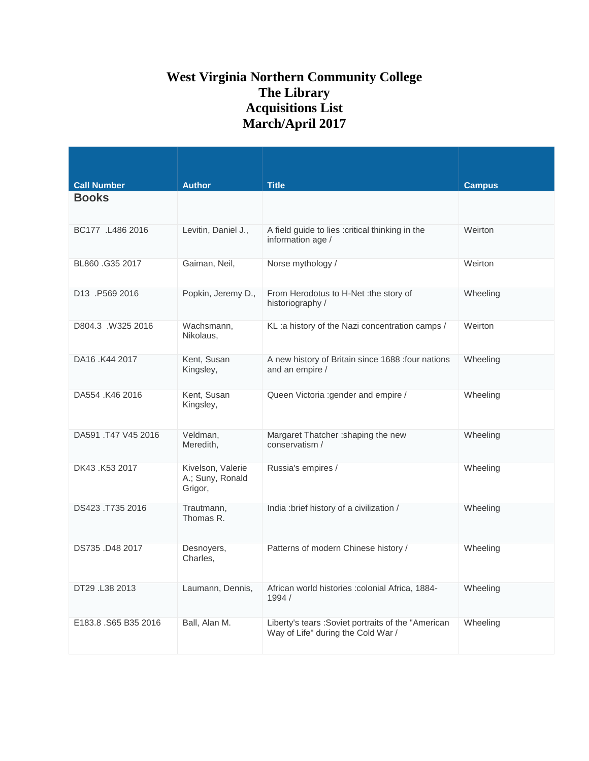## **West Virginia Northern Community College The Library Acquisitions List March/April 2017**

|                                       | <b>Author</b>                                    |                                                                                           |               |
|---------------------------------------|--------------------------------------------------|-------------------------------------------------------------------------------------------|---------------|
| <b>Call Number</b><br><b>Books</b>    |                                                  | <b>Title</b>                                                                              | <b>Campus</b> |
| BC177 .L486 2016                      | Levitin, Daniel J.,                              | A field guide to lies : critical thinking in the<br>information age /                     | Weirton       |
| BL860.G35 2017                        | Gaiman, Neil,                                    | Norse mythology /                                                                         | Weirton       |
| D <sub>13</sub> P <sub>569</sub> 2016 | Popkin, Jeremy D.,                               | From Herodotus to H-Net : the story of<br>historiography /                                | Wheeling      |
| D804.3 .W325 2016                     | Wachsmann,<br>Nikolaus,                          | KL: a history of the Nazi concentration camps /                                           | Weirton       |
| DA16 .K44 2017                        | Kent, Susan<br>Kingsley,                         | A new history of Britain since 1688 : four nations<br>and an empire /                     | Wheeling      |
| DA554 .K46 2016                       | Kent, Susan<br>Kingsley,                         | Queen Victoria : gender and empire /                                                      | Wheeling      |
| DA591 .T47 V45 2016                   | Veldman,<br>Meredith,                            | Margaret Thatcher : shaping the new<br>conservatism /                                     | Wheeling      |
| DK43 .K53 2017                        | Kivelson, Valerie<br>A.; Suny, Ronald<br>Grigor, | Russia's empires /                                                                        | Wheeling      |
| DS423 .T735 2016                      | Trautmann,<br>Thomas R.                          | India: brief history of a civilization /                                                  | Wheeling      |
| DS735 .D48 2017                       | Desnoyers,<br>Charles,                           | Patterns of modern Chinese history /                                                      | Wheeling      |
| DT29 .L38 2013                        | Laumann, Dennis,                                 | African world histories : colonial Africa, 1884-<br>1994 /                                | Wheeling      |
| E183.8 .S65 B35 2016                  | Ball, Alan M.                                    | Liberty's tears : Soviet portraits of the "American<br>Way of Life" during the Cold War / | Wheeling      |